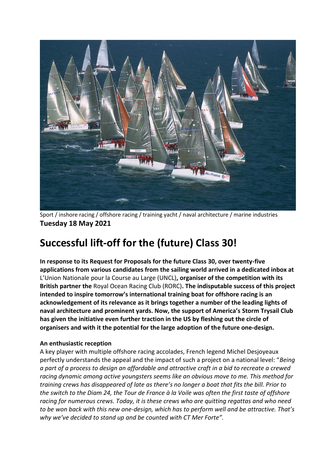

Sport / inshore racing / offshore racing / training yacht / naval architecture / marine industries **Tuesday 18 May 2021**

# **Successful lift-off for the (future) Class 30!**

**In response to its Request for Proposals for the future Class 30, over twenty-five applications from various candidates from the sailing world arrived in a dedicated inbox at**  L'Union Nationale pour la Course au Large (UNCL)**, organiser of the competition with its British partner the** Royal Ocean Racing Club (RORC)**. The indisputable success of this project intended to inspire tomorrow's international training boat for offshore racing is an acknowledgement of its relevance as it brings together a number of the leading lights of naval architecture and prominent yards. Now, the support of America's Storm Trysail Club has given the initiative even further traction in the US by fleshing out the circle of organisers and with it the potential for the large adoption of the future one-design.**

# **An enthusiastic reception**

A key player with multiple offshore racing accolades, French legend Michel Desjoyeaux perfectly understands the appeal and the impact of such a project on a national level: "*Being a part of a process to design an affordable and attractive craft in a bid to recreate a crewed racing dynamic among active youngsters seems like an obvious move to me. This method for training crews has disappeared of late as there's no longer a boat that fits the bill. Prior to the switch to the Diam 24, the Tour de France à la Voile was often the first taste of offshore racing for numerous crews. Today, it is these crews who are quitting regattas and who need to be won back with this new one-design, which has to perform well and be attractive. That's why we've decided to stand up and be counted with CT Mer Forte".*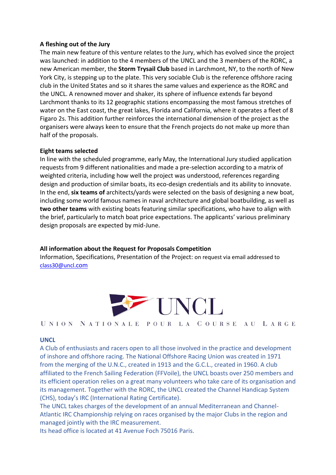#### **A fleshing out of the Jury**

The main new feature of this venture relates to the Jury, which has evolved since the project was launched: in addition to the 4 members of the UNCL and the 3 members of the RORC, a new American member, the **Storm Trysail Club** based in Larchmont, NY, to the north of New York City, is stepping up to the plate. This very sociable Club is the reference offshore racing club in the United States and so it shares the same values and experience as the RORC and the UNCL. A renowned mover and shaker, its sphere of influence extends far beyond Larchmont thanks to its 12 geographic stations encompassing the most famous stretches of water on the East coast, the great lakes, Florida and California, where it operates a fleet of 8 Figaro 2s. This addition further reinforces the international dimension of the project as the organisers were always keen to ensure that the French projects do not make up more than half of the proposals.

### **Eight teams selected**

In line with the scheduled programme, early May, the International Jury studied application requests from 9 different nationalities and made a pre-selection according to a matrix of weighted criteria, including how well the project was understood, references regarding design and production of similar boats, its eco-design credentials and its ability to innovate. In the end, **six teams of** architects/yards were selected on the basis of designing a new boat, including some world famous names in naval architecture and global boatbuilding, as well as **two other teams** with existing boats featuring similar specifications, who have to align with the brief, particularly to match boat price expectations. The applicants' various preliminary design proposals are expected by mid-June.

# **All information about the Request for Proposals Competition**

Information, Specifications, Presentation of the Project: on request via email addressed to [class30@uncl](mailto:class30@uncl.com)[.com](mailto:class30@uncl.com)



UNION NATIONALE POUR LA COURSE AU LARGE

#### **UNCL**

A Club of enthusiasts and racers open to all those involved in the practice and development of inshore and offshore racing. The National Offshore Racing Union was created in 1971 from the merging of the U.N.C., created in 1913 and the G.C.L., created in 1960. A club affiliated to the French Sailing Federation (FFVoile), the UNCL boasts over 250 members and its efficient operation relies on a great many volunteers who take care of its organisation and its management. Together with the RORC, the UNCL created the Channel Handicap System (CHS), today's IRC (International Rating Certificate).

The UNCL takes charges of the development of an annual Mediterranean and Channel-Atlantic IRC Championship relying on races organised by the major Clubs in the region and managed jointly with the IRC measurement.

Its head office is located at 41 Avenue Foch 75016 Paris.